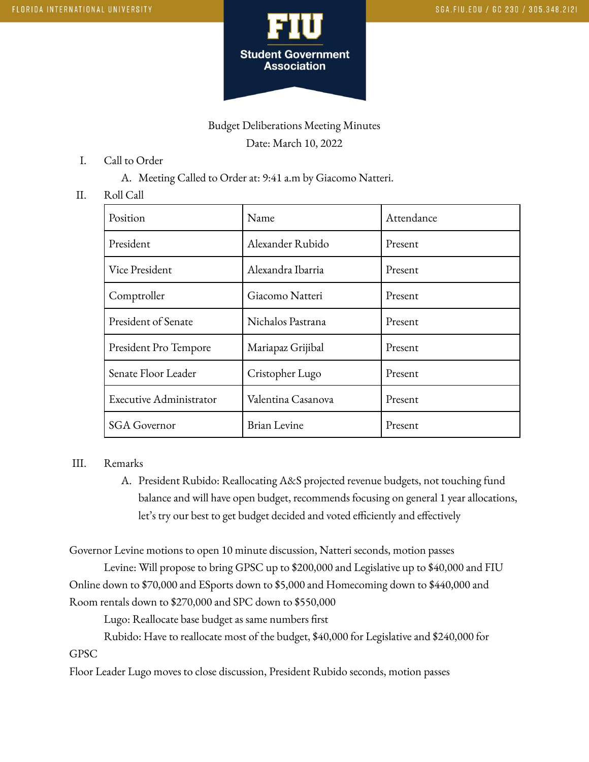

# Budget Deliberations Meeting Minutes Date: March 10, 2022

- I. Call to Order
	- A. Meeting Called to Order at: 9:41 a.m by Giacomo Natteri.

#### II. Roll Call

| Position                       | Name                | Attendance |
|--------------------------------|---------------------|------------|
| President                      | Alexander Rubido    | Present    |
| Vice President                 | Alexandra Ibarria   | Present    |
| Comptroller                    | Giacomo Natteri     | Present    |
| President of Senate            | Nichalos Pastrana   | Present    |
| President Pro Tempore          | Mariapaz Grijibal   | Present    |
| Senate Floor Leader            | Cristopher Lugo     | Present    |
| <b>Executive Administrator</b> | Valentina Casanova  | Present    |
| <b>SGA</b> Governor            | <b>Brian Levine</b> | Present    |

#### III. Remarks

A. President Rubido: Reallocating A&S projected revenue budgets, not touching fund balance and will have open budget, recommends focusing on general 1 year allocations, let's try our best to get budget decided and voted efficiently and effectively

Governor Levine motions to open 10 minute discussion, Natteri seconds, motion passes

Levine: Will propose to bring GPSC up to \$200,000 and Legislative up to \$40,000 and FIU Online down to \$70,000 and ESports down to \$5,000 and Homecoming down to \$440,000 and Room rentals down to \$270,000 and SPC down to \$550,000

Lugo: Reallocate base budget as same numbers first

Rubido: Have to reallocate most of the budget, \$40,000 for Legislative and \$240,000 for GPSC

Floor Leader Lugo moves to close discussion, President Rubido seconds, motion passes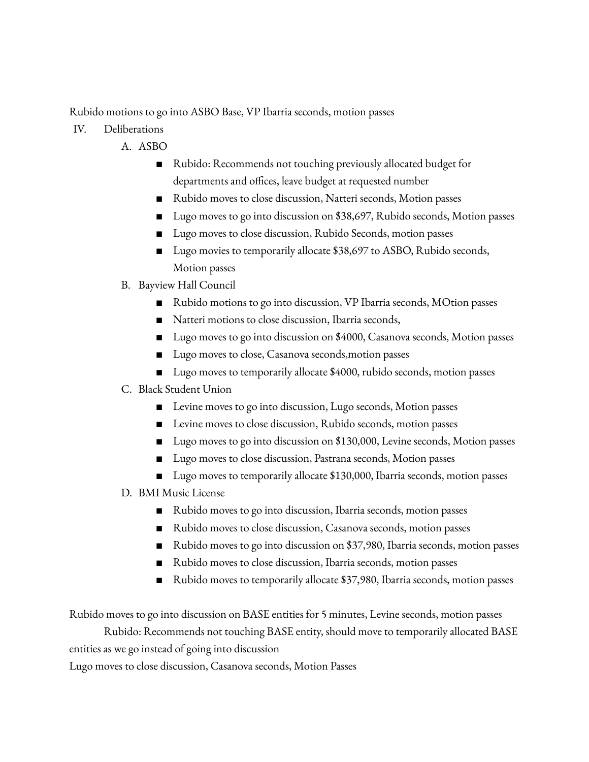Rubido motions to go into ASBO Base, VP Ibarria seconds, motion passes

- IV. Deliberations
	- A. ASBO
		- Rubido: Recommends not touching previously allocated budget for departments and offices, leave budget at requested number
		- Rubido moves to close discussion, Natteri seconds, Motion passes
		- Lugo moves to go into discussion on \$38,697, Rubido seconds, Motion passes
		- Lugo moves to close discussion, Rubido Seconds, motion passes
		- Lugo movies to temporarily allocate \$38,697 to ASBO, Rubido seconds, Motion passes
	- B. Bayview Hall Council
		- Rubido motions to go into discussion, VP Ibarria seconds, MOtion passes
		- Natteri motions to close discussion, Ibarria seconds,
		- Lugo moves to go into discussion on \$4000, Casanova seconds, Motion passes
		- Lugo moves to close, Casanova seconds, motion passes
		- Lugo moves to temporarily allocate \$4000, rubido seconds, motion passes
	- C. Black Student Union
		- Levine moves to go into discussion, Lugo seconds, Motion passes
		- Levine moves to close discussion, Rubido seconds, motion passes
		- Lugo moves to go into discussion on \$130,000, Levine seconds, Motion passes
		- Lugo moves to close discussion, Pastrana seconds, Motion passes
		- Lugo moves to temporarily allocate \$130,000, Ibarria seconds, motion passes
	- D. BMI Music License
		- Rubido moves to go into discussion, Ibarria seconds, motion passes
		- Rubido moves to close discussion, Casanova seconds, motion passes
		- Rubido moves to go into discussion on \$37,980, Ibarria seconds, motion passes
		- Rubido moves to close discussion, Ibarria seconds, motion passes
		- Rubido moves to temporarily allocate \$37,980, Ibarria seconds, motion passes

Rubido moves to go into discussion on BASE entities for 5 minutes, Levine seconds, motion passes

Rubido: Recommends not touching BASE entity, should move to temporarily allocated BASE

entities as we go instead of going into discussion

Lugo moves to close discussion, Casanova seconds, Motion Passes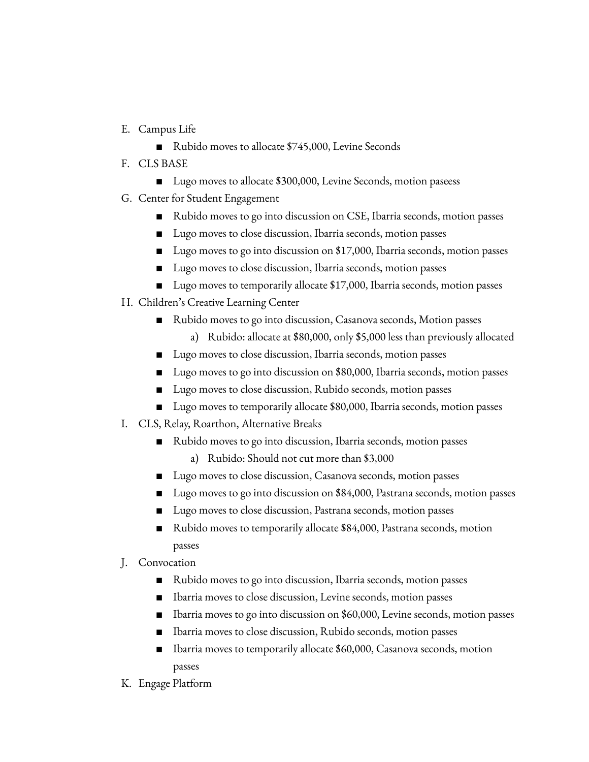- E. Campus Life
	- Rubido moves to allocate \$745,000, Levine Seconds
- F. CLS BASE
	- Lugo moves to allocate \$300,000, Levine Seconds, motion paseess
- G. Center for Student Engagement
	- Rubido moves to go into discussion on CSE, Ibarria seconds, motion passes
	- Lugo moves to close discussion, Ibarria seconds, motion passes
	- Lugo moves to go into discussion on \$17,000, Ibarria seconds, motion passes
	- Lugo moves to close discussion, Ibarria seconds, motion passes
	- Lugo moves to temporarily allocate \$17,000, Ibarria seconds, motion passes
- H. Children's Creative Learning Center
	- Rubido moves to go into discussion, Casanova seconds, Motion passes
		- a) Rubido: allocate at \$80,000, only \$5,000 less than previously allocated
	- Lugo moves to close discussion, Ibarria seconds, motion passes
	- Lugo moves to go into discussion on \$80,000, Ibarria seconds, motion passes
	- Lugo moves to close discussion, Rubido seconds, motion passes
	- Lugo moves to temporarily allocate \$80,000, Ibarria seconds, motion passes
- I. CLS, Relay, Roarthon, Alternative Breaks
	- Rubido moves to go into discussion, Ibarria seconds, motion passes
		- a) Rubido: Should not cut more than \$3,000
	- Lugo moves to close discussion, Casanova seconds, motion passes
	- Lugo moves to go into discussion on \$84,000, Pastrana seconds, motion passes
	- Lugo moves to close discussion, Pastrana seconds, motion passes
	- Rubido moves to temporarily allocate \$84,000, Pastrana seconds, motion passes
- J. Convocation
	- Rubido moves to go into discussion, Ibarria seconds, motion passes
	- Ibarria moves to close discussion, Levine seconds, motion passes
	- Ibarria moves to go into discussion on \$60,000, Levine seconds, motion passes
	- Ibarria moves to close discussion, Rubido seconds, motion passes
	- Ibarria moves to temporarily allocate \$60,000, Casanova seconds, motion passes
- K. Engage Platform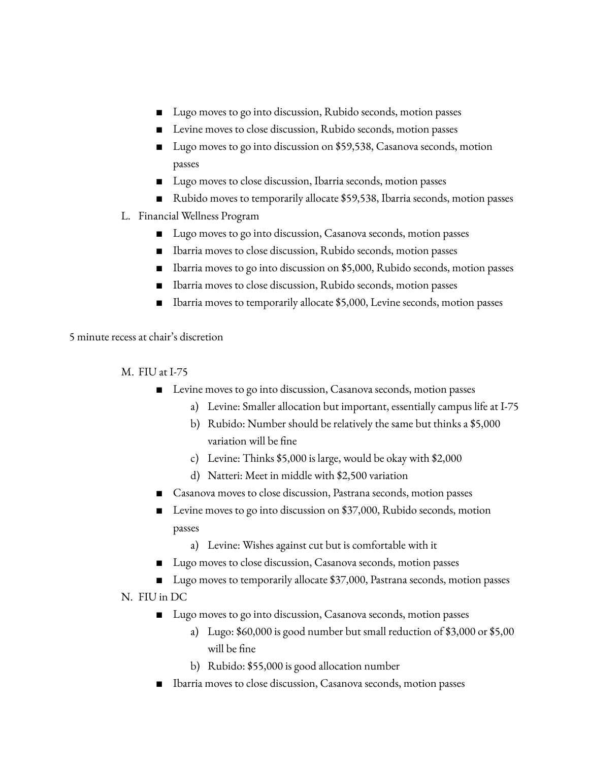- Lugo moves to go into discussion, Rubido seconds, motion passes
- Levine moves to close discussion, Rubido seconds, motion passes
- Lugo moves to go into discussion on \$59,538, Casanova seconds, motion passes
- Lugo moves to close discussion, Ibarria seconds, motion passes
- Rubido moves to temporarily allocate \$59,538, Ibarria seconds, motion passes
- L. Financial Wellness Program
	- Lugo moves to go into discussion, Casanova seconds, motion passes
	- Ibarria moves to close discussion, Rubido seconds, motion passes
	- Ibarria moves to go into discussion on \$5,000, Rubido seconds, motion passes
	- Ibarria moves to close discussion, Rubido seconds, motion passes
	- Ibarria moves to temporarily allocate \$5,000, Levine seconds, motion passes

5 minute recess at chair's discretion

M. FIU at I-75

- Levine moves to go into discussion, Casanova seconds, motion passes
	- a) Levine: Smaller allocation but important, essentially campus life at I-75
	- b) Rubido: Number should be relatively the same but thinks a \$5,000 variation will be fine
	- c) Levine: Thinks \$5,000 is large, would be okay with \$2,000
	- d) Natteri: Meet in middle with \$2,500 variation
- Casanova moves to close discussion, Pastrana seconds, motion passes
- Levine moves to go into discussion on \$37,000, Rubido seconds, motion passes
	- a) Levine: Wishes against cut but is comfortable with it
- Lugo moves to close discussion, Casanova seconds, motion passes
- Lugo moves to temporarily allocate \$37,000, Pastrana seconds, motion passes

N. FIU in DC

- Lugo moves to go into discussion, Casanova seconds, motion passes
	- a) Lugo: \$60,000 is good number but small reduction of \$3,000 or \$5,00 will be fine
	- b) Rubido: \$55,000 is good allocation number
- Ibarria moves to close discussion, Casanova seconds, motion passes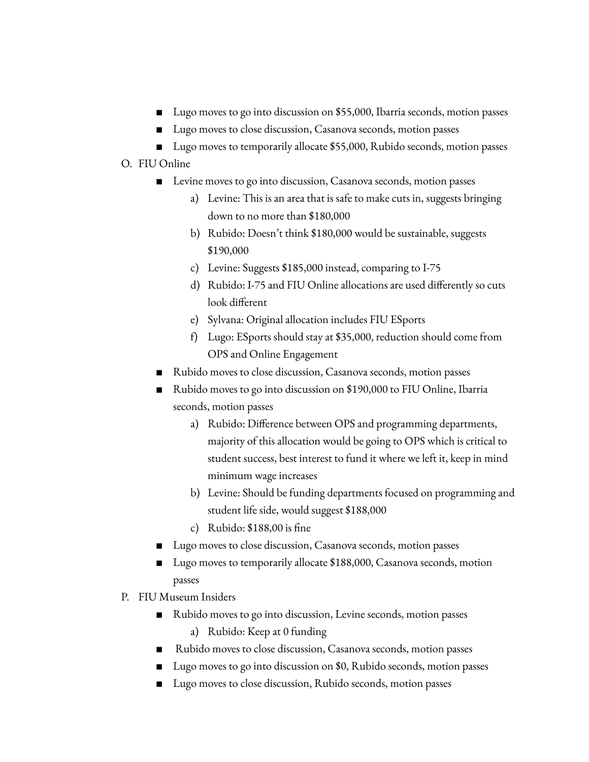- Lugo moves to go into discussion on \$55,000, Ibarria seconds, motion passes
- Lugo moves to close discussion, Casanova seconds, motion passes
- Lugo moves to temporarily allocate \$55,000, Rubido seconds, motion passes

## O. FIU Online

- Levine moves to go into discussion, Casanova seconds, motion passes
	- a) Levine: This is an area that is safe to make cuts in, suggests bringing down to no more than \$180,000
	- b) Rubido: Doesn't think \$180,000 would be sustainable, suggests \$190,000
	- c) Levine: Suggests \$185,000 instead, comparing to I-75
	- d) Rubido: I-75 and FIU Online allocations are used differently so cuts look different
	- e) Sylvana: Original allocation includes FIU ESports
	- f) Lugo: ESports should stay at \$35,000, reduction should come from OPS and Online Engagement
- Rubido moves to close discussion, Casanova seconds, motion passes
- Rubido moves to go into discussion on \$190,000 to FIU Online, Ibarria seconds, motion passes
	- a) Rubido: Difference between OPS and programming departments, majority of this allocation would be going to OPS which is critical to student success, best interest to fund it where we left it, keep in mind minimum wage increases
	- b) Levine: Should be funding departments focused on programming and student life side, would suggest \$188,000
	- c) Rubido: \$188,00 is fine
- Lugo moves to close discussion, Casanova seconds, motion passes
- Lugo moves to temporarily allocate \$188,000, Casanova seconds, motion passes
- P. FIU Museum Insiders
	- Rubido moves to go into discussion, Levine seconds, motion passes
		- a) Rubido: Keep at 0 funding
	- Rubido moves to close discussion, Casanova seconds, motion passes
	- Lugo moves to go into discussion on \$0, Rubido seconds, motion passes
	- Lugo moves to close discussion, Rubido seconds, motion passes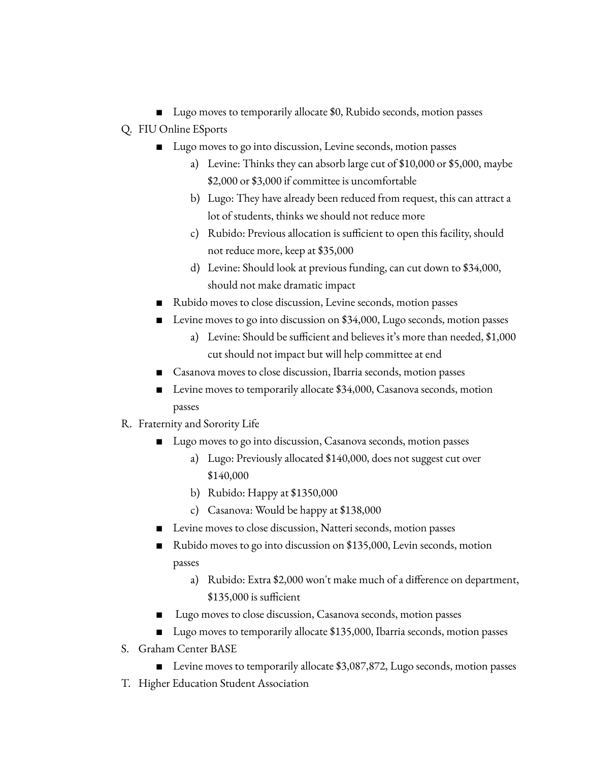- Lugo moves to temporarily allocate \$0, Rubido seconds, motion passes
- Q. FIU Online ESports
	- Lugo moves to go into discussion, Levine seconds, motion passes
		- a) Levine: Thinks they can absorb large cut of \$10,000 or \$5,000, maybe \$2,000 or \$3,000 if committee is uncomfortable
		- b) Lugo: They have already been reduced from request, this can attract a lot of students, thinks we should not reduce more
		- c) Rubido: Previous allocation is sufficient to open this facility, should not reduce more, keep at \$35,000
		- d) Levine: Should look at previous funding, can cut down to \$34,000, should not make dramatic impact
	- Rubido moves to close discussion, Levine seconds, motion passes
	- Levine moves to go into discussion on \$34,000, Lugo seconds, motion passes
		- a) Levine: Should be sufficient and believes it's more than needed, \$1,000 cut should not impact but will help committee at end
	- Casanova moves to close discussion, Ibarria seconds, motion passes
	- Levine moves to temporarily allocate \$34,000, Casanova seconds, motion passes
- R. Fraternity and Sorority Life
	- Lugo moves to go into discussion, Casanova seconds, motion passes
		- a) Lugo: Previously allocated \$140,000, does not suggest cut over \$140,000
		- b) Rubido: Happy at \$1350,000
		- c) Casanova: Would be happy at \$138,000
	- Levine moves to close discussion, Natteri seconds, motion passes
	- Rubido moves to go into discussion on \$135,000, Levin seconds, motion passes
		- a) Rubido: Extra \$2,000 won't make much of a difference on department, \$135,000 is sufficient
	- Lugo moves to close discussion, Casanova seconds, motion passes
	- Lugo moves to temporarily allocate \$135,000, Ibarria seconds, motion passes
- S. Graham Center BASE
	- Levine moves to temporarily allocate \$3,087,872, Lugo seconds, motion passes
- T. Higher Education Student Association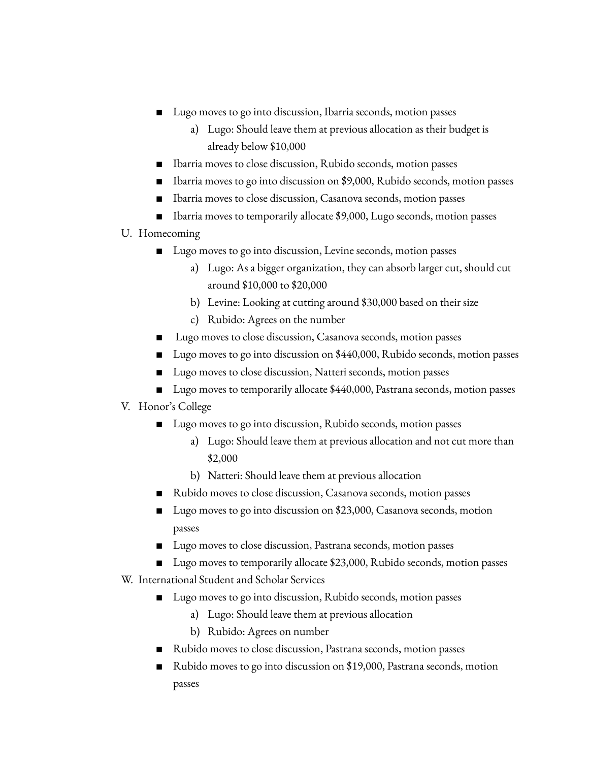- Lugo moves to go into discussion, Ibarria seconds, motion passes
	- a) Lugo: Should leave them at previous allocation as their budget is already below \$10,000
- Ibarria moves to close discussion, Rubido seconds, motion passes
- Ibarria moves to go into discussion on \$9,000, Rubido seconds, motion passes
- Ibarria moves to close discussion, Casanova seconds, motion passes
- Ibarria moves to temporarily allocate \$9,000, Lugo seconds, motion passes
- U. Homecoming
	- Lugo moves to go into discussion, Levine seconds, motion passes
		- a) Lugo: As a bigger organization, they can absorb larger cut, should cut around \$10,000 to \$20,000
		- b) Levine: Looking at cutting around \$30,000 based on their size
		- c) Rubido: Agrees on the number
	- Lugo moves to close discussion, Casanova seconds, motion passes
	- Lugo moves to go into discussion on \$440,000, Rubido seconds, motion passes
	- Lugo moves to close discussion, Natteri seconds, motion passes
	- Lugo moves to temporarily allocate \$440,000, Pastrana seconds, motion passes

# V. Honor's College

- Lugo moves to go into discussion, Rubido seconds, motion passes
	- a) Lugo: Should leave them at previous allocation and not cut more than \$2,000
	- b) Natteri: Should leave them at previous allocation
- Rubido moves to close discussion, Casanova seconds, motion passes
- Lugo moves to go into discussion on \$23,000, Casanova seconds, motion passes
- Lugo moves to close discussion, Pastrana seconds, motion passes
- Lugo moves to temporarily allocate \$23,000, Rubido seconds, motion passes
- W. International Student and Scholar Services
	- Lugo moves to go into discussion, Rubido seconds, motion passes
		- a) Lugo: Should leave them at previous allocation
		- b) Rubido: Agrees on number
	- Rubido moves to close discussion, Pastrana seconds, motion passes
	- Rubido moves to go into discussion on \$19,000, Pastrana seconds, motion passes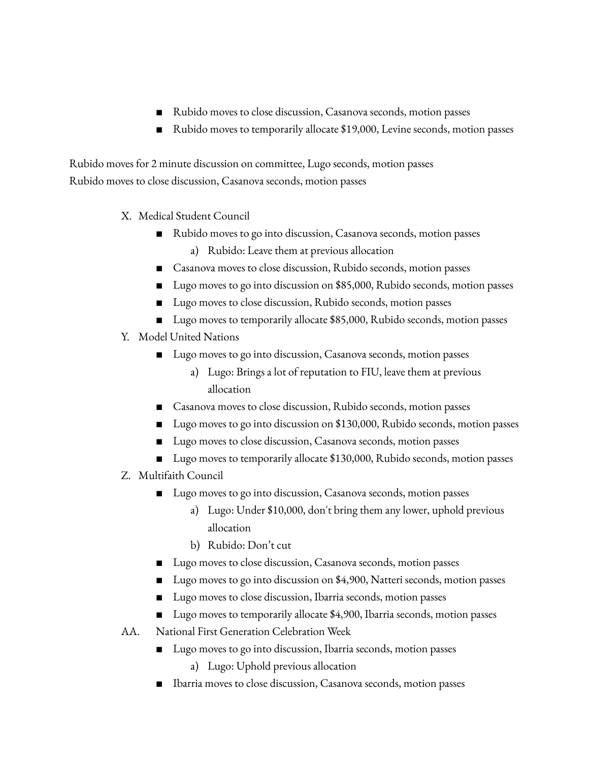- Rubido moves to close discussion, Casanova seconds, motion passes
- Rubido moves to temporarily allocate \$19,000, Levine seconds, motion passes

Rubido moves for 2 minute discussion on committee, Lugo seconds, motion passes Rubido moves to close discussion, Casanova seconds, motion passes

- X. Medical Student Council
	- Rubido moves to go into discussion, Casanova seconds, motion passes
		- a) Rubido: Leave them at previous allocation
	- Casanova moves to close discussion, Rubido seconds, motion passes
	- Lugo moves to go into discussion on \$85,000, Rubido seconds, motion passes
	- Lugo moves to close discussion, Rubido seconds, motion passes
	- Lugo moves to temporarily allocate \$85,000, Rubido seconds, motion passes
- Y. Model United Nations
	- Lugo moves to go into discussion, Casanova seconds, motion passes
		- a) Lugo: Brings a lot of reputation to FIU, leave them at previous allocation
	- Casanova moves to close discussion, Rubido seconds, motion passes
	- Lugo moves to go into discussion on \$130,000, Rubido seconds, motion passes
	- Lugo moves to close discussion, Casanova seconds, motion passes
	- Lugo moves to temporarily allocate \$130,000, Rubido seconds, motion passes
- Z. Multifaith Council
	- Lugo moves to go into discussion, Casanova seconds, motion passes
		- a) Lugo: Under \$10,000, don't bring them any lower, uphold previous allocation
		- b) Rubido: Don't cut
	- Lugo moves to close discussion, Casanova seconds, motion passes
	- Lugo moves to go into discussion on \$4,900, Natteri seconds, motion passes
	- Lugo moves to close discussion, Ibarria seconds, motion passes
	- Lugo moves to temporarily allocate \$4,900, Ibarria seconds, motion passes
- AA. National First Generation Celebration Week
	- Lugo moves to go into discussion, Ibarria seconds, motion passes
		- a) Lugo: Uphold previous allocation
	- Ibarria moves to close discussion, Casanova seconds, motion passes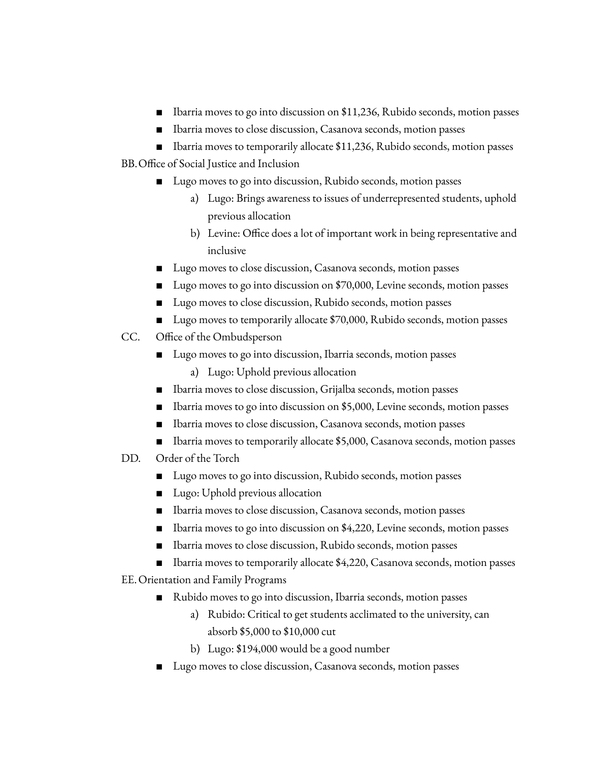- Ibarria moves to go into discussion on \$11,236, Rubido seconds, motion passes
- Ibarria moves to close discussion, Casanova seconds, motion passes
- Ibarria moves to temporarily allocate \$11,236, Rubido seconds, motion passes
- BB.Office of Social Justice and Inclusion
	- Lugo moves to go into discussion, Rubido seconds, motion passes
		- a) Lugo: Brings awareness to issues of underrepresented students, uphold previous allocation
		- b) Levine: Office does a lot of important work in being representative and inclusive
	- Lugo moves to close discussion, Casanova seconds, motion passes
	- Lugo moves to go into discussion on \$70,000, Levine seconds, motion passes
	- Lugo moves to close discussion, Rubido seconds, motion passes
	- Lugo moves to temporarily allocate \$70,000, Rubido seconds, motion passes
- CC. Office of the Ombudsperson
	- Lugo moves to go into discussion, Ibarria seconds, motion passes
		- a) Lugo: Uphold previous allocation
	- Ibarria moves to close discussion, Grijalba seconds, motion passes
	- Ibarria moves to go into discussion on \$5,000, Levine seconds, motion passes
	- Ibarria moves to close discussion, Casanova seconds, motion passes
	- Ibarria moves to temporarily allocate \$5,000, Casanova seconds, motion passes
- DD. Order of the Torch
	- Lugo moves to go into discussion, Rubido seconds, motion passes
	- Lugo: Uphold previous allocation
	- Ibarria moves to close discussion, Casanova seconds, motion passes
	- Ibarria moves to go into discussion on \$4,220, Levine seconds, motion passes
	- Ibarria moves to close discussion, Rubido seconds, motion passes
	- Ibarria moves to temporarily allocate \$4,220, Casanova seconds, motion passes
- EE.Orientation and Family Programs
	- Rubido moves to go into discussion, Ibarria seconds, motion passes
		- a) Rubido: Critical to get students acclimated to the university, can absorb \$5,000 to \$10,000 cut
		- b) Lugo: \$194,000 would be a good number
	- Lugo moves to close discussion, Casanova seconds, motion passes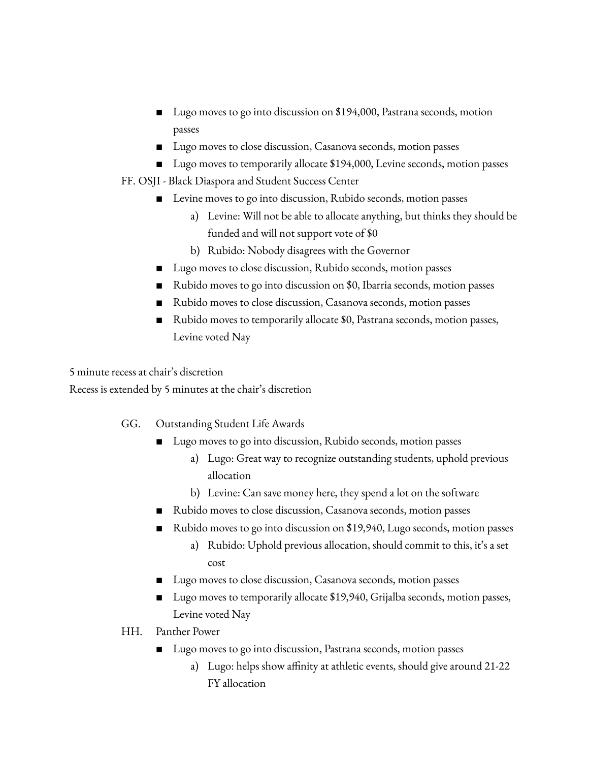- Lugo moves to go into discussion on \$194,000, Pastrana seconds, motion passes
- Lugo moves to close discussion, Casanova seconds, motion passes
- Lugo moves to temporarily allocate \$194,000, Levine seconds, motion passes
- FF. OSJI Black Diaspora and Student Success Center
	- Levine moves to go into discussion, Rubido seconds, motion passes
		- a) Levine: Will not be able to allocate anything, but thinks they should be funded and will not support vote of \$0
		- b) Rubido: Nobody disagrees with the Governor
	- Lugo moves to close discussion, Rubido seconds, motion passes
	- Rubido moves to go into discussion on \$0, Ibarria seconds, motion passes
	- Rubido moves to close discussion, Casanova seconds, motion passes
	- Rubido moves to temporarily allocate \$0, Pastrana seconds, motion passes, Levine voted Nay

5 minute recess at chair's discretion

Recess is extended by 5 minutes at the chair's discretion

- GG. Outstanding Student Life Awards
	- Lugo moves to go into discussion, Rubido seconds, motion passes
		- a) Lugo: Great way to recognize outstanding students, uphold previous allocation
		- b) Levine: Can save money here, they spend a lot on the software
	- Rubido moves to close discussion, Casanova seconds, motion passes
	- Rubido moves to go into discussion on \$19,940, Lugo seconds, motion passes
		- a) Rubido: Uphold previous allocation, should commit to this, it's a set cost
	- Lugo moves to close discussion, Casanova seconds, motion passes
	- Lugo moves to temporarily allocate \$19,940, Grijalba seconds, motion passes, Levine voted Nay
- HH. Panther Power
	- Lugo moves to go into discussion, Pastrana seconds, motion passes
		- a) Lugo: helps show affinity at athletic events, should give around 21-22 FY allocation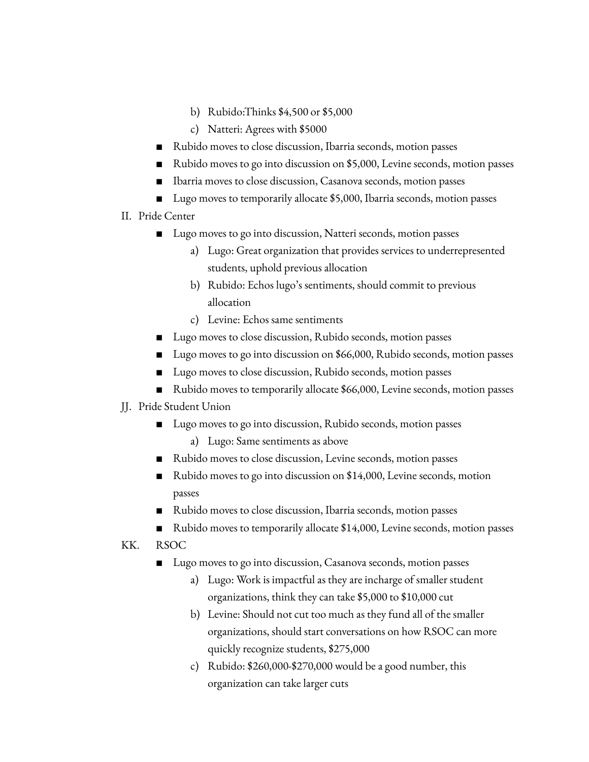- b) Rubido:Thinks \$4,500 or \$5,000
- c) Natteri: Agrees with \$5000
- Rubido moves to close discussion, Ibarria seconds, motion passes
- Rubido moves to go into discussion on \$5,000, Levine seconds, motion passes
- Ibarria moves to close discussion, Casanova seconds, motion passes
- Lugo moves to temporarily allocate \$5,000, Ibarria seconds, motion passes
- II. Pride Center
	- Lugo moves to go into discussion, Natteri seconds, motion passes
		- a) Lugo: Great organization that provides services to underrepresented students, uphold previous allocation
		- b) Rubido: Echos lugo's sentiments, should commit to previous allocation
		- c) Levine: Echos same sentiments
	- Lugo moves to close discussion, Rubido seconds, motion passes
	- Lugo moves to go into discussion on \$66,000, Rubido seconds, motion passes
	- Lugo moves to close discussion, Rubido seconds, motion passes
	- Rubido moves to temporarily allocate \$66,000, Levine seconds, motion passes
- JJ. Pride Student Union
	- Lugo moves to go into discussion, Rubido seconds, motion passes
		- a) Lugo: Same sentiments as above
	- Rubido moves to close discussion, Levine seconds, motion passes
	- Rubido moves to go into discussion on \$14,000, Levine seconds, motion passes
	- Rubido moves to close discussion, Ibarria seconds, motion passes
	- Rubido moves to temporarily allocate \$14,000, Levine seconds, motion passes

KK. RSOC

- Lugo moves to go into discussion, Casanova seconds, motion passes
	- a) Lugo: Work is impactful as they are incharge of smaller student organizations, think they can take \$5,000 to \$10,000 cut
	- b) Levine: Should not cut too much as they fund all of the smaller organizations, should start conversations on how RSOC can more quickly recognize students, \$275,000
	- c) Rubido: \$260,000-\$270,000 would be a good number, this organization can take larger cuts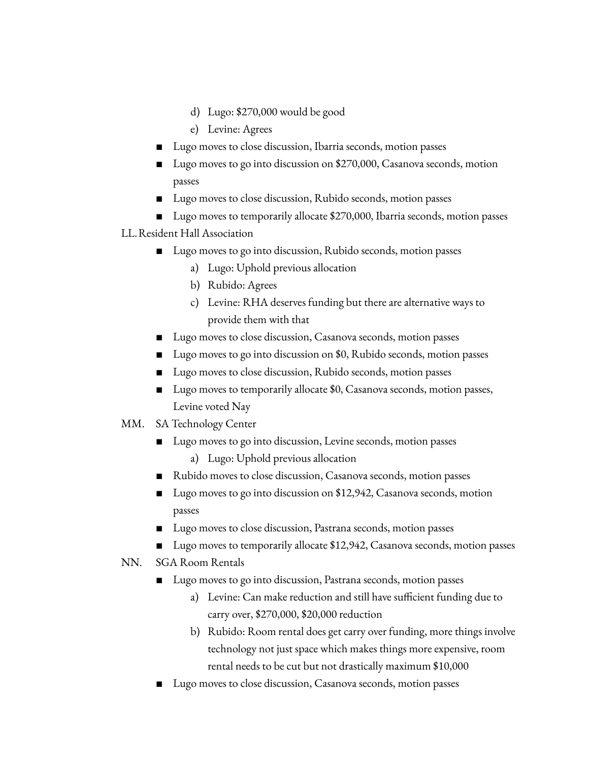- d) Lugo: \$270,000 would be good
- e) Levine: Agrees
- Lugo moves to close discussion, Ibarria seconds, motion passes
- Lugo moves to go into discussion on \$270,000, Casanova seconds, motion passes
- Lugo moves to close discussion, Rubido seconds, motion passes
- Lugo moves to temporarily allocate \$270,000, Ibarria seconds, motion passes

## LL.Resident Hall Association

- Lugo moves to go into discussion, Rubido seconds, motion passes
	- a) Lugo: Uphold previous allocation
	- b) Rubido: Agrees
	- c) Levine: RHA deserves funding but there are alternative ways to provide them with that
- Lugo moves to close discussion, Casanova seconds, motion passes
- Lugo moves to go into discussion on \$0, Rubido seconds, motion passes
- Lugo moves to close discussion, Rubido seconds, motion passes
- Lugo moves to temporarily allocate \$0, Casanova seconds, motion passes, Levine voted Nay
- MM. SA Technology Center
	- Lugo moves to go into discussion, Levine seconds, motion passes
		- a) Lugo: Uphold previous allocation
	- Rubido moves to close discussion, Casanova seconds, motion passes
	- Lugo moves to go into discussion on \$12,942, Casanova seconds, motion passes
	- Lugo moves to close discussion, Pastrana seconds, motion passes
	- Lugo moves to temporarily allocate \$12,942, Casanova seconds, motion passes

### NN. SGA Room Rentals

- Lugo moves to go into discussion, Pastrana seconds, motion passes
	- a) Levine: Can make reduction and still have sufficient funding due to carry over, \$270,000, \$20,000 reduction
	- b) Rubido: Room rental does get carry over funding, more things involve technology not just space which makes things more expensive, room rental needs to be cut but not drastically maximum \$10,000
- Lugo moves to close discussion, Casanova seconds, motion passes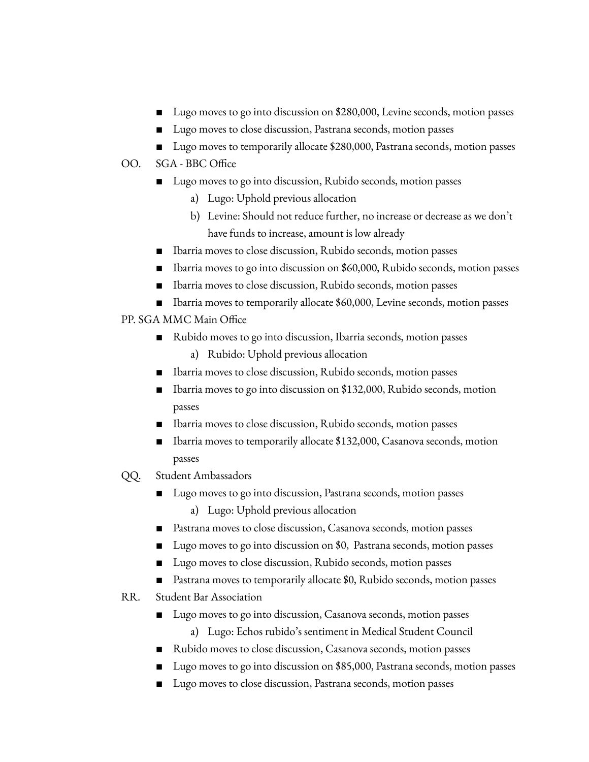- Lugo moves to go into discussion on \$280,000, Levine seconds, motion passes
- Lugo moves to close discussion, Pastrana seconds, motion passes
- Lugo moves to temporarily allocate \$280,000, Pastrana seconds, motion passes

# OO. SGA - BBC Office

- Lugo moves to go into discussion, Rubido seconds, motion passes
	- a) Lugo: Uphold previous allocation
	- b) Levine: Should not reduce further, no increase or decrease as we don't have funds to increase, amount is low already
- Ibarria moves to close discussion, Rubido seconds, motion passes
- Ibarria moves to go into discussion on \$60,000, Rubido seconds, motion passes
- Ibarria moves to close discussion, Rubido seconds, motion passes
- Ibarria moves to temporarily allocate \$60,000, Levine seconds, motion passes

# PP. SGA MMC Main Office

- Rubido moves to go into discussion, Ibarria seconds, motion passes
	- a) Rubido: Uphold previous allocation
- Ibarria moves to close discussion, Rubido seconds, motion passes
- Ibarria moves to go into discussion on \$132,000, Rubido seconds, motion passes
- Ibarria moves to close discussion, Rubido seconds, motion passes
- Ibarria moves to temporarily allocate \$132,000, Casanova seconds, motion passes
- QQ. Student Ambassadors
	- Lugo moves to go into discussion, Pastrana seconds, motion passes a) Lugo: Uphold previous allocation
	- Pastrana moves to close discussion, Casanova seconds, motion passes
	- Lugo moves to go into discussion on \$0, Pastrana seconds, motion passes
	- Lugo moves to close discussion, Rubido seconds, motion passes
	- Pastrana moves to temporarily allocate \$0, Rubido seconds, motion passes
- RR. Student Bar Association
	- Lugo moves to go into discussion, Casanova seconds, motion passes
		- a) Lugo: Echos rubido's sentiment in Medical Student Council
	- Rubido moves to close discussion, Casanova seconds, motion passes
	- Lugo moves to go into discussion on \$85,000, Pastrana seconds, motion passes
	- Lugo moves to close discussion, Pastrana seconds, motion passes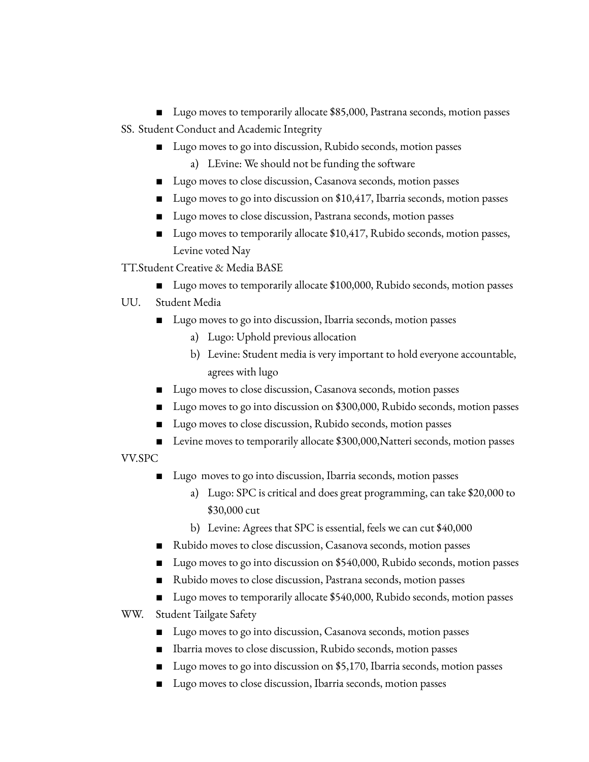Lugo moves to temporarily allocate \$85,000, Pastrana seconds, motion passes SS. Student Conduct and Academic Integrity

- Lugo moves to go into discussion, Rubido seconds, motion passes
	- a) LEvine: We should not be funding the software
- Lugo moves to close discussion, Casanova seconds, motion passes
- Lugo moves to go into discussion on \$10,417, Ibarria seconds, motion passes
- Lugo moves to close discussion, Pastrana seconds, motion passes
- Lugo moves to temporarily allocate \$10,417, Rubido seconds, motion passes, Levine voted Nay

TT.Student Creative & Media BASE

■ Lugo moves to temporarily allocate \$100,000, Rubido seconds, motion passes

# UU. Student Media

- Lugo moves to go into discussion, Ibarria seconds, motion passes
	- a) Lugo: Uphold previous allocation
	- b) Levine: Student media is very important to hold everyone accountable, agrees with lugo
- Lugo moves to close discussion, Casanova seconds, motion passes
- Lugo moves to go into discussion on \$300,000, Rubido seconds, motion passes
- Lugo moves to close discussion, Rubido seconds, motion passes
- Levine moves to temporarily allocate \$300,000, Natteri seconds, motion passes

VV.SPC

- Lugo moves to go into discussion, Ibarria seconds, motion passes
	- a) Lugo: SPC is critical and does great programming, can take \$20,000 to \$30,000 cut
	- b) Levine: Agrees that SPC is essential, feels we can cut \$40,000
- Rubido moves to close discussion, Casanova seconds, motion passes
- Lugo moves to go into discussion on \$540,000, Rubido seconds, motion passes
- Rubido moves to close discussion, Pastrana seconds, motion passes
- Lugo moves to temporarily allocate \$540,000, Rubido seconds, motion passes
- WW. Student Tailgate Safety
	- Lugo moves to go into discussion, Casanova seconds, motion passes
	- Ibarria moves to close discussion, Rubido seconds, motion passes
	- Lugo moves to go into discussion on \$5,170, Ibarria seconds, motion passes
	- Lugo moves to close discussion, Ibarria seconds, motion passes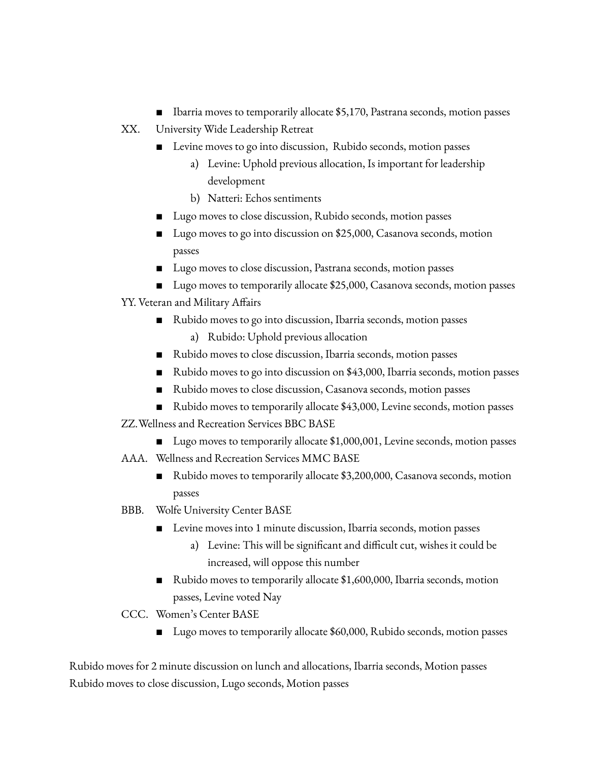- Ibarria moves to temporarily allocate \$5,170, Pastrana seconds, motion passes
- XX. University Wide Leadership Retreat
	- Levine moves to go into discussion, Rubido seconds, motion passes
		- a) Levine: Uphold previous allocation, Is important for leadership development
		- b) Natteri: Echos sentiments
	- Lugo moves to close discussion, Rubido seconds, motion passes
	- Lugo moves to go into discussion on \$25,000, Casanova seconds, motion passes
	- Lugo moves to close discussion, Pastrana seconds, motion passes
	- Lugo moves to temporarily allocate \$25,000, Casanova seconds, motion passes
- YY. Veteran and Military Affairs
	- Rubido moves to go into discussion, Ibarria seconds, motion passes
		- a) Rubido: Uphold previous allocation
	- Rubido moves to close discussion, Ibarria seconds, motion passes
	- Rubido moves to go into discussion on \$43,000, Ibarria seconds, motion passes
	- Rubido moves to close discussion, Casanova seconds, motion passes
	- Rubido moves to temporarily allocate \$43,000, Levine seconds, motion passes

ZZ.Wellness and Recreation Services BBC BASE

- Lugo moves to temporarily allocate \$1,000,001, Levine seconds, motion passes
- AAA. Wellness and Recreation Services MMC BASE
	- Rubido moves to temporarily allocate \$3,200,000, Casanova seconds, motion passes
- BBB. Wolfe University Center BASE
	- Levine moves into 1 minute discussion, Ibarria seconds, motion passes
		- a) Levine: This will be significant and difficult cut, wishes it could be increased, will oppose this number
	- Rubido moves to temporarily allocate \$1,600,000, Ibarria seconds, motion passes, Levine voted Nay
- CCC. Women's Center BASE
	- Lugo moves to temporarily allocate \$60,000, Rubido seconds, motion passes

Rubido moves for 2 minute discussion on lunch and allocations, Ibarria seconds, Motion passes Rubido moves to close discussion, Lugo seconds, Motion passes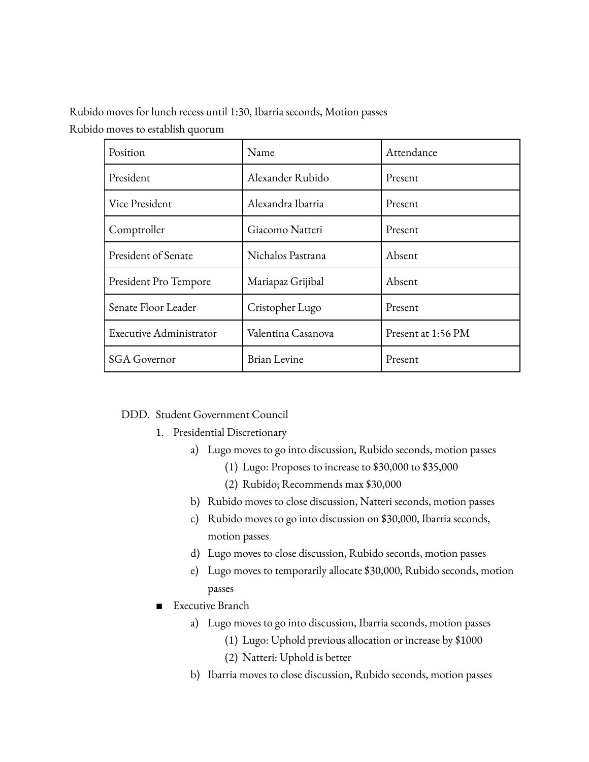Rubido moves for lunch recess until 1:30, Ibarria seconds, Motion passes Rubido moves to establish quorum

| Position                       | Name               | Attendance         |
|--------------------------------|--------------------|--------------------|
| President                      | Alexander Rubido   | Present            |
| Vice President                 | Alexandra Ibarria  | Present            |
| Comptroller                    | Giacomo Natteri    | Present            |
| President of Senate            | Nichalos Pastrana  | Absent             |
| President Pro Tempore          | Mariapaz Grijibal  | Absent             |
| Senate Floor Leader            | Cristopher Lugo    | Present            |
| <b>Executive Administrator</b> | Valentina Casanova | Present at 1:56 PM |
| <b>SGA Governor</b>            | Brian Levine       | Present            |

#### DDD. Student Government Council

- 1. Presidential Discretionary
	- a) Lugo moves to go into discussion, Rubido seconds, motion passes
		- (1) Lugo: Proposes to increase to \$30,000 to \$35,000
		- (2) Rubido; Recommends max \$30,000
	- b) Rubido moves to close discussion, Natteri seconds, motion passes
	- c) Rubido moves to go into discussion on \$30,000, Ibarria seconds, motion passes
	- d) Lugo moves to close discussion, Rubido seconds, motion passes
	- e) Lugo moves to temporarily allocate \$30,000, Rubido seconds, motion passes
- Executive Branch
	- a) Lugo moves to go into discussion, Ibarria seconds, motion passes
		- (1) Lugo: Uphold previous allocation or increase by \$1000
		- (2) Natteri: Uphold is better
	- b) Ibarria moves to close discussion, Rubido seconds, motion passes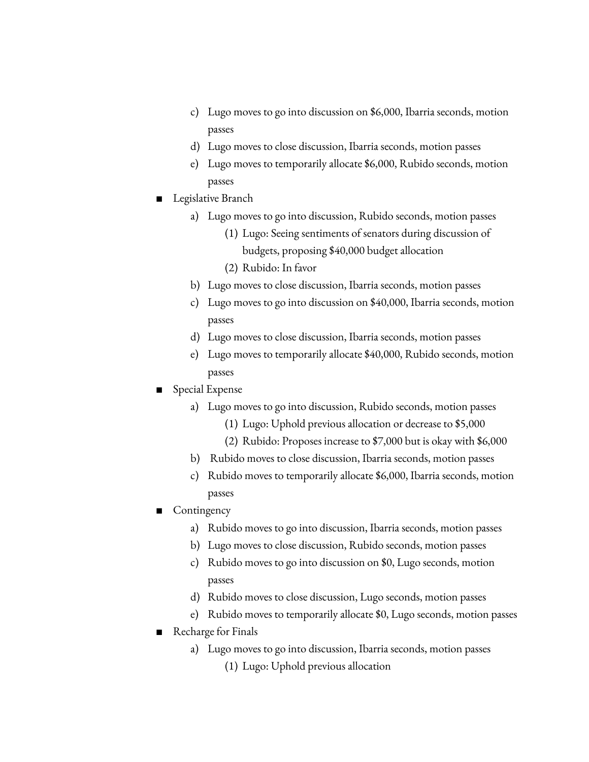- c) Lugo moves to go into discussion on \$6,000, Ibarria seconds, motion passes
- d) Lugo moves to close discussion, Ibarria seconds, motion passes
- e) Lugo moves to temporarily allocate \$6,000, Rubido seconds, motion passes
- Legislative Branch
	- a) Lugo moves to go into discussion, Rubido seconds, motion passes
		- (1) Lugo: Seeing sentiments of senators during discussion of budgets, proposing \$40,000 budget allocation
		- (2) Rubido: In favor
	- b) Lugo moves to close discussion, Ibarria seconds, motion passes
	- c) Lugo moves to go into discussion on \$40,000, Ibarria seconds, motion passes
	- d) Lugo moves to close discussion, Ibarria seconds, motion passes
	- e) Lugo moves to temporarily allocate \$40,000, Rubido seconds, motion passes
- Special Expense
	- a) Lugo moves to go into discussion, Rubido seconds, motion passes
		- (1) Lugo: Uphold previous allocation or decrease to \$5,000
		- (2) Rubido: Proposes increase to \$7,000 but is okay with \$6,000
	- b) Rubido moves to close discussion, Ibarria seconds, motion passes
	- c) Rubido moves to temporarily allocate \$6,000, Ibarria seconds, motion passes
- **Contingency** 
	- a) Rubido moves to go into discussion, Ibarria seconds, motion passes
	- b) Lugo moves to close discussion, Rubido seconds, motion passes
	- c) Rubido moves to go into discussion on \$0, Lugo seconds, motion passes
	- d) Rubido moves to close discussion, Lugo seconds, motion passes
	- e) Rubido moves to temporarily allocate \$0, Lugo seconds, motion passes
- Recharge for Finals
	- a) Lugo moves to go into discussion, Ibarria seconds, motion passes (1) Lugo: Uphold previous allocation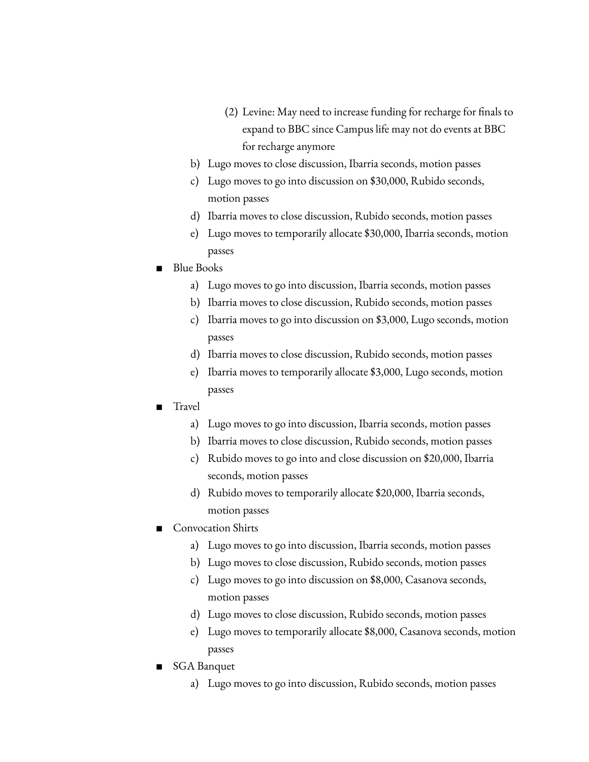- (2) Levine: May need to increase funding for recharge for finals to expand to BBC since Campus life may not do events at BBC for recharge anymore
- b) Lugo moves to close discussion, Ibarria seconds, motion passes
- c) Lugo moves to go into discussion on \$30,000, Rubido seconds, motion passes
- d) Ibarria moves to close discussion, Rubido seconds, motion passes
- e) Lugo moves to temporarily allocate \$30,000, Ibarria seconds, motion passes
- Blue Books
	- a) Lugo moves to go into discussion, Ibarria seconds, motion passes
	- b) Ibarria moves to close discussion, Rubido seconds, motion passes
	- c) Ibarria moves to go into discussion on \$3,000, Lugo seconds, motion passes
	- d) Ibarria moves to close discussion, Rubido seconds, motion passes
	- e) Ibarria moves to temporarily allocate \$3,000, Lugo seconds, motion passes
- Travel
	- a) Lugo moves to go into discussion, Ibarria seconds, motion passes
	- b) Ibarria moves to close discussion, Rubido seconds, motion passes
	- c) Rubido moves to go into and close discussion on \$20,000, Ibarria seconds, motion passes
	- d) Rubido moves to temporarily allocate \$20,000, Ibarria seconds, motion passes
- Convocation Shirts
	- a) Lugo moves to go into discussion, Ibarria seconds, motion passes
	- b) Lugo moves to close discussion, Rubido seconds, motion passes
	- c) Lugo moves to go into discussion on \$8,000, Casanova seconds, motion passes
	- d) Lugo moves to close discussion, Rubido seconds, motion passes
	- e) Lugo moves to temporarily allocate \$8,000, Casanova seconds, motion passes
- SGA Banquet
	- a) Lugo moves to go into discussion, Rubido seconds, motion passes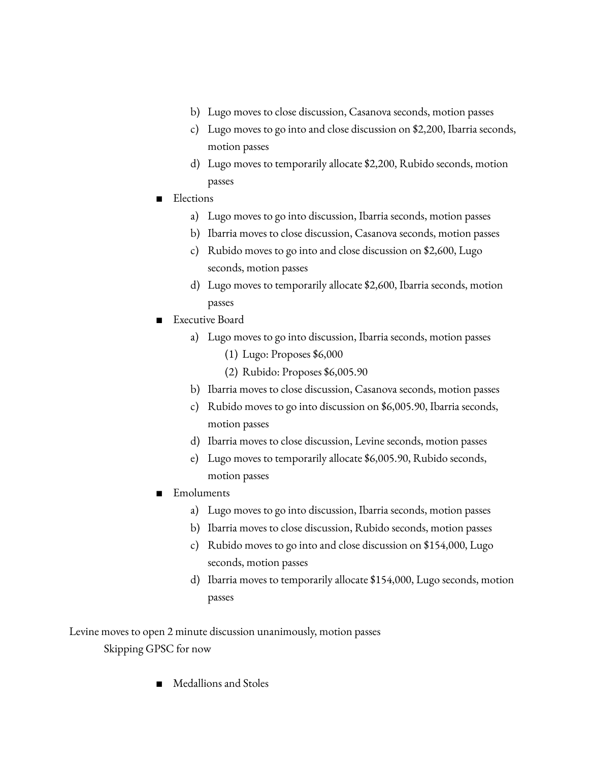- b) Lugo moves to close discussion, Casanova seconds, motion passes
- c) Lugo moves to go into and close discussion on \$2,200, Ibarria seconds, motion passes
- d) Lugo moves to temporarily allocate \$2,200, Rubido seconds, motion passes
- Elections
	- a) Lugo moves to go into discussion, Ibarria seconds, motion passes
	- b) Ibarria moves to close discussion, Casanova seconds, motion passes
	- c) Rubido moves to go into and close discussion on \$2,600, Lugo seconds, motion passes
	- d) Lugo moves to temporarily allocate \$2,600, Ibarria seconds, motion passes
- Executive Board
	- a) Lugo moves to go into discussion, Ibarria seconds, motion passes
		- (1) Lugo: Proposes \$6,000
		- (2) Rubido: Proposes \$6,005.90
	- b) Ibarria moves to close discussion, Casanova seconds, motion passes
	- c) Rubido moves to go into discussion on \$6,005.90, Ibarria seconds, motion passes
	- d) Ibarria moves to close discussion, Levine seconds, motion passes
	- e) Lugo moves to temporarily allocate \$6,005.90, Rubido seconds, motion passes
- Emoluments
	- a) Lugo moves to go into discussion, Ibarria seconds, motion passes
	- b) Ibarria moves to close discussion, Rubido seconds, motion passes
	- c) Rubido moves to go into and close discussion on \$154,000, Lugo seconds, motion passes
	- d) Ibarria moves to temporarily allocate \$154,000, Lugo seconds, motion passes

Levine moves to open 2 minute discussion unanimously, motion passes Skipping GPSC for now

Medallions and Stoles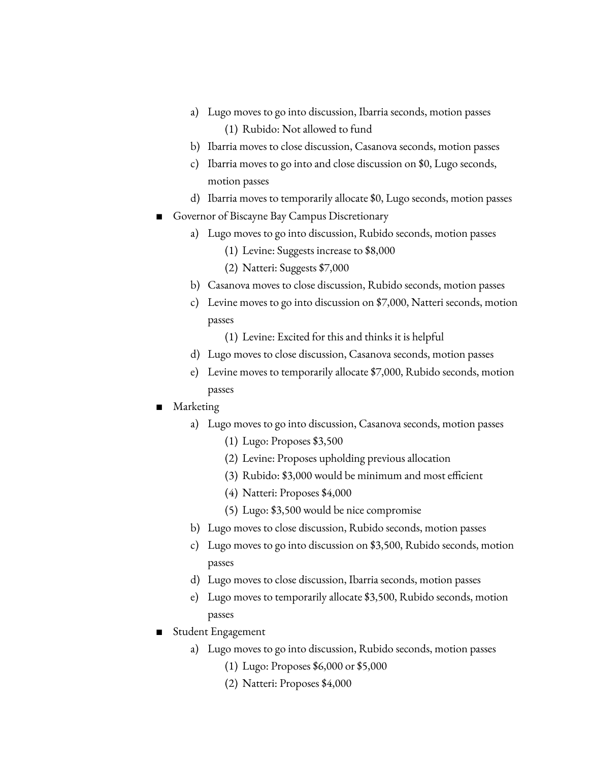- a) Lugo moves to go into discussion, Ibarria seconds, motion passes (1) Rubido: Not allowed to fund
- b) Ibarria moves to close discussion, Casanova seconds, motion passes
- c) Ibarria moves to go into and close discussion on \$0, Lugo seconds, motion passes
- d) Ibarria moves to temporarily allocate \$0, Lugo seconds, motion passes
- Governor of Biscayne Bay Campus Discretionary
	- a) Lugo moves to go into discussion, Rubido seconds, motion passes
		- (1) Levine: Suggests increase to \$8,000
		- (2) Natteri: Suggests \$7,000
	- b) Casanova moves to close discussion, Rubido seconds, motion passes
	- c) Levine moves to go into discussion on \$7,000, Natteri seconds, motion passes
		- (1) Levine: Excited for this and thinks it is helpful
	- d) Lugo moves to close discussion, Casanova seconds, motion passes
	- e) Levine moves to temporarily allocate \$7,000, Rubido seconds, motion passes
- Marketing
	- a) Lugo moves to go into discussion, Casanova seconds, motion passes
		- (1) Lugo: Proposes \$3,500
		- (2) Levine: Proposes upholding previous allocation
		- (3) Rubido: \$3,000 would be minimum and most efficient
		- (4) Natteri: Proposes \$4,000
		- (5) Lugo: \$3,500 would be nice compromise
	- b) Lugo moves to close discussion, Rubido seconds, motion passes
	- c) Lugo moves to go into discussion on \$3,500, Rubido seconds, motion passes
	- d) Lugo moves to close discussion, Ibarria seconds, motion passes
	- e) Lugo moves to temporarily allocate \$3,500, Rubido seconds, motion passes
- Student Engagement
	- a) Lugo moves to go into discussion, Rubido seconds, motion passes
		- (1) Lugo: Proposes \$6,000 or \$5,000
		- (2) Natteri: Proposes \$4,000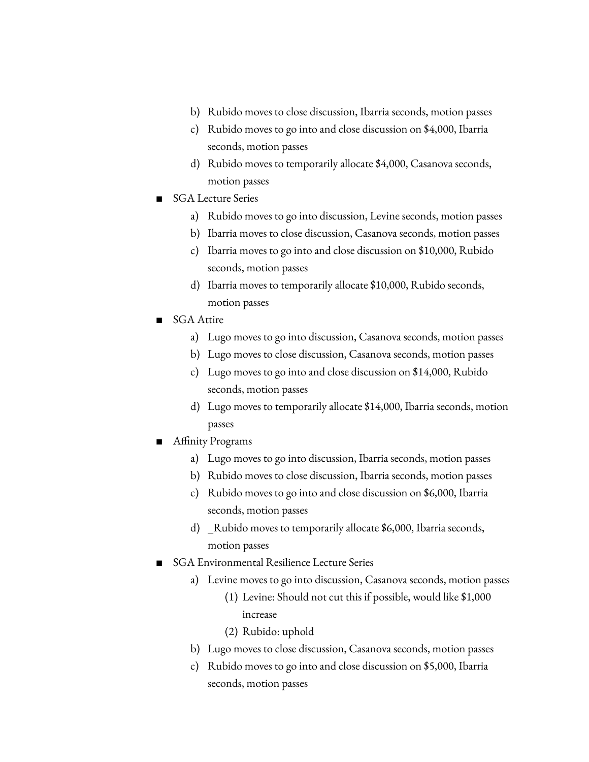- b) Rubido moves to close discussion, Ibarria seconds, motion passes
- c) Rubido moves to go into and close discussion on \$4,000, Ibarria seconds, motion passes
- d) Rubido moves to temporarily allocate \$4,000, Casanova seconds, motion passes
- SGA Lecture Series
	- a) Rubido moves to go into discussion, Levine seconds, motion passes
	- b) Ibarria moves to close discussion, Casanova seconds, motion passes
	- c) Ibarria moves to go into and close discussion on \$10,000, Rubido seconds, motion passes
	- d) Ibarria moves to temporarily allocate \$10,000, Rubido seconds, motion passes
- SGA Attire
	- a) Lugo moves to go into discussion, Casanova seconds, motion passes
	- b) Lugo moves to close discussion, Casanova seconds, motion passes
	- c) Lugo moves to go into and close discussion on \$14,000, Rubido seconds, motion passes
	- d) Lugo moves to temporarily allocate \$14,000, Ibarria seconds, motion passes
- Affinity Programs
	- a) Lugo moves to go into discussion, Ibarria seconds, motion passes
	- b) Rubido moves to close discussion, Ibarria seconds, motion passes
	- c) Rubido moves to go into and close discussion on \$6,000, Ibarria seconds, motion passes
	- d) \_Rubido moves to temporarily allocate \$6,000, Ibarria seconds, motion passes
- **SGA Environmental Resilience Lecture Series** 
	- a) Levine moves to go into discussion, Casanova seconds, motion passes
		- (1) Levine: Should not cut this if possible, would like \$1,000 increase
		- (2) Rubido: uphold
	- b) Lugo moves to close discussion, Casanova seconds, motion passes
	- c) Rubido moves to go into and close discussion on \$5,000, Ibarria seconds, motion passes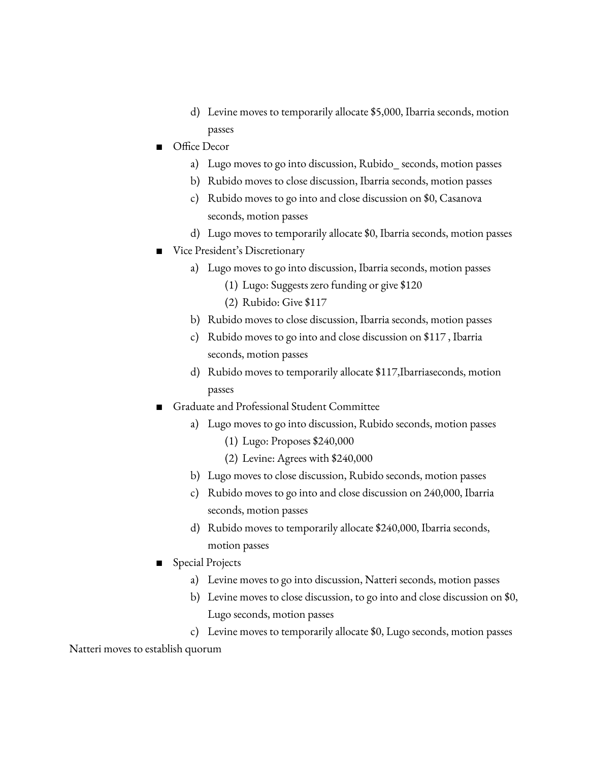- d) Levine moves to temporarily allocate \$5,000, Ibarria seconds, motion passes
- Office Decor
	- a) Lugo moves to go into discussion, Rubido\_ seconds, motion passes
	- b) Rubido moves to close discussion, Ibarria seconds, motion passes
	- c) Rubido moves to go into and close discussion on \$0, Casanova seconds, motion passes
	- d) Lugo moves to temporarily allocate \$0, Ibarria seconds, motion passes
- Vice President's Discretionary
	- a) Lugo moves to go into discussion, Ibarria seconds, motion passes
		- (1) Lugo: Suggests zero funding or give \$120
		- (2) Rubido: Give \$117
	- b) Rubido moves to close discussion, Ibarria seconds, motion passes
	- c) Rubido moves to go into and close discussion on \$117 , Ibarria seconds, motion passes
	- d) Rubido moves to temporarily allocate \$117,Ibarriaseconds, motion passes
- Graduate and Professional Student Committee
	- a) Lugo moves to go into discussion, Rubido seconds, motion passes (1) Lugo: Proposes \$240,000
		- (2) Levine: Agrees with \$240,000
	- b) Lugo moves to close discussion, Rubido seconds, motion passes
	- c) Rubido moves to go into and close discussion on 240,000, Ibarria seconds, motion passes
	- d) Rubido moves to temporarily allocate \$240,000, Ibarria seconds, motion passes
- **Special Projects** 
	- a) Levine moves to go into discussion, Natteri seconds, motion passes
	- b) Levine moves to close discussion, to go into and close discussion on \$0, Lugo seconds, motion passes
	- c) Levine moves to temporarily allocate \$0, Lugo seconds, motion passes

Natteri moves to establish quorum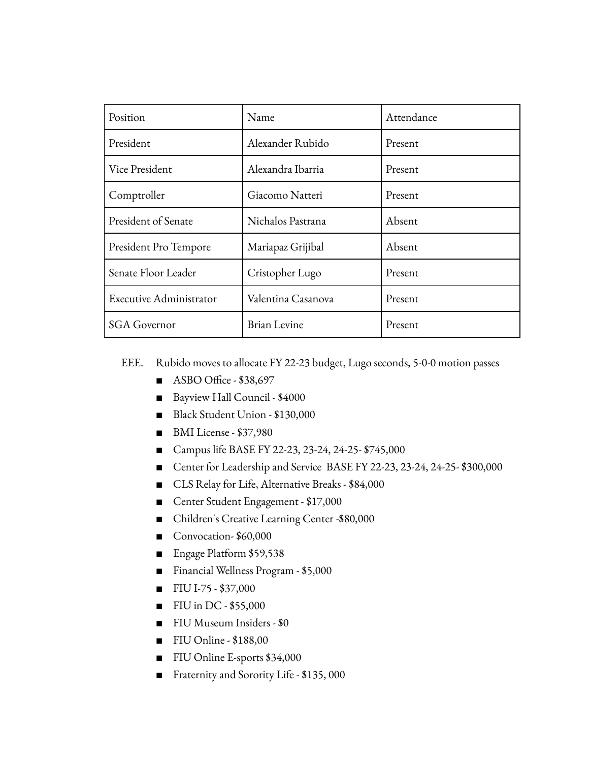| Position                | Name               | Attendance |
|-------------------------|--------------------|------------|
| President               | Alexander Rubido   | Present    |
| Vice President          | Alexandra Ibarria  | Present    |
| Comptroller             | Giacomo Natteri    | Present    |
| President of Senate     | Nichalos Pastrana  | Absent     |
| President Pro Tempore   | Mariapaz Grijibal  | Absent     |
| Senate Floor Leader     | Cristopher Lugo    | Present    |
| Executive Administrator | Valentina Casanova | Present    |
| <b>SGA Governor</b>     | Brian Levine       | Present    |

EEE. Rubido moves to allocate FY 22-23 budget, Lugo seconds, 5-0-0 motion passes

- ASBO Office \$38,697
- Bayview Hall Council \$4000
- Black Student Union \$130,000
- BMI License \$37,980
- Campus life BASE FY 22-23, 23-24, 24-25- \$745,000
- Center for Leadership and Service BASE FY 22-23, 23-24, 24-25- \$300,000
- CLS Relay for Life, Alternative Breaks \$84,000
- Center Student Engagement \$17,000
- Children's Creative Learning Center -\$80,000
- Convocation- \$60,000
- Engage Platform \$59,538
- Financial Wellness Program \$5,000
- FIU I-75 \$37,000
- FIU in DC \$55,000
- FIU Museum Insiders \$0
- FIU Online \$188,00
- FIU Online E-sports \$34,000
- Fraternity and Sorority Life \$135, 000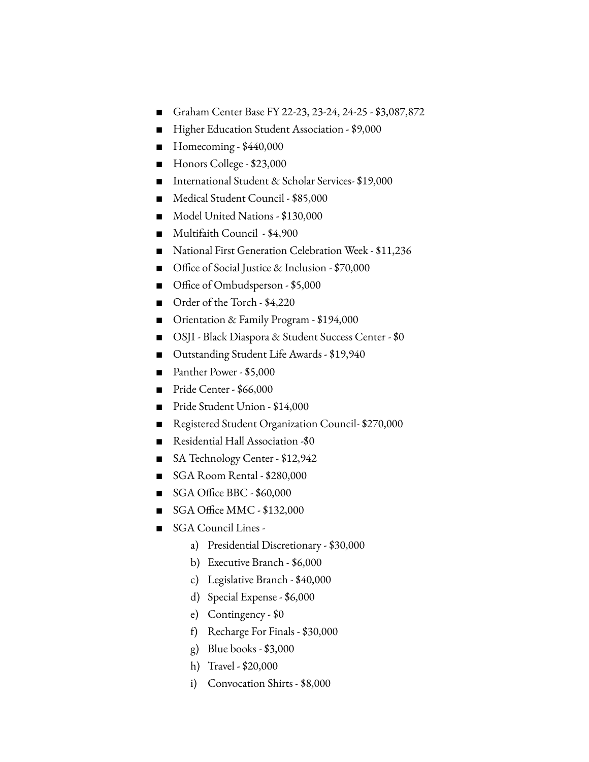- Graham Center Base FY 22-23, 23-24, 24-25 \$3,087,872
- Higher Education Student Association \$9,000
- Homecoming \$440,000
- Honors College \$23,000
- International Student & Scholar Services- \$19,000
- Medical Student Council \$85,000
- Model United Nations \$130,000
- Multifaith Council \$4,900
- National First Generation Celebration Week \$11,236
- Office of Social Justice & Inclusion \$70,000
- Office of Ombudsperson \$5,000
- Order of the Torch \$4,220
- Orientation & Family Program \$194,000
- OSJI Black Diaspora & Student Success Center \$0
- Outstanding Student Life Awards \$19,940
- Panther Power \$5,000
- Pride Center \$66,000
- Pride Student Union \$14,000
- Registered Student Organization Council- \$270,000
- Residential Hall Association -\$0
- SA Technology Center \$12,942
- SGA Room Rental \$280,000
- SGA Office BBC \$60,000
- SGA Office MMC \$132,000
- SGA Council Lines
	- a) Presidential Discretionary \$30,000
	- b) Executive Branch \$6,000
	- c) Legislative Branch \$40,000
	- d) Special Expense \$6,000
	- e) Contingency \$0
	- f) Recharge For Finals \$30,000
	- g) Blue books  $$3,000$
	- h) Travel \$20,000
	- i) Convocation Shirts \$8,000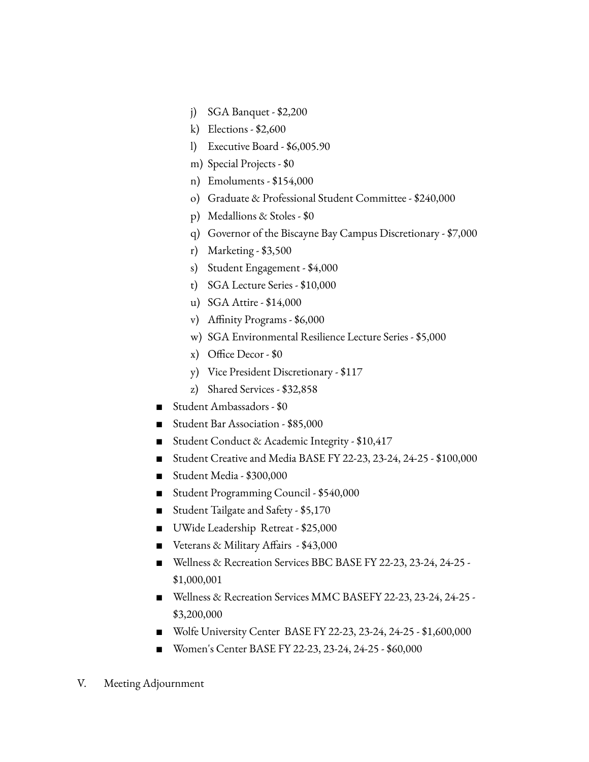- j) SGA Banquet \$2,200
- k) Elections \$2,600
- l) Executive Board \$6,005.90
- m) Special Projects \$0
- n) Emoluments \$154,000
- o) Graduate & Professional Student Committee \$240,000
- p) Medallions & Stoles \$0
- q) Governor of the Biscayne Bay Campus Discretionary \$7,000
- r) Marketing \$3,500
- s) Student Engagement \$4,000
- t) SGA Lecture Series \$10,000
- u) SGA Attire \$14,000
- v) Affinity Programs \$6,000
- w) SGA Environmental Resilience Lecture Series \$5,000
- x) Office Decor \$0
- y) Vice President Discretionary \$117
- z) Shared Services \$32,858
- Student Ambassadors \$0
- Student Bar Association \$85,000
- Student Conduct & Academic Integrity \$10,417
- Student Creative and Media BASE FY 22-23, 23-24, 24-25 \$100,000
- Student Media \$300,000
- Student Programming Council \$540,000
- Student Tailgate and Safety \$5,170
- UWide Leadership Retreat \$25,000
- Veterans & Military Affairs \$43,000
- Wellness & Recreation Services BBC BASE FY 22-23, 23-24, 24-25 -\$1,000,001
- Wellness & Recreation Services MMC BASEFY 22-23, 23-24, 24-25 -\$3,200,000
- Wolfe University Center BASE FY 22-23, 23-24, 24-25 \$1,600,000
- Women's Center BASE FY 22-23, 23-24, 24-25 \$60,000
- V. Meeting Adjournment